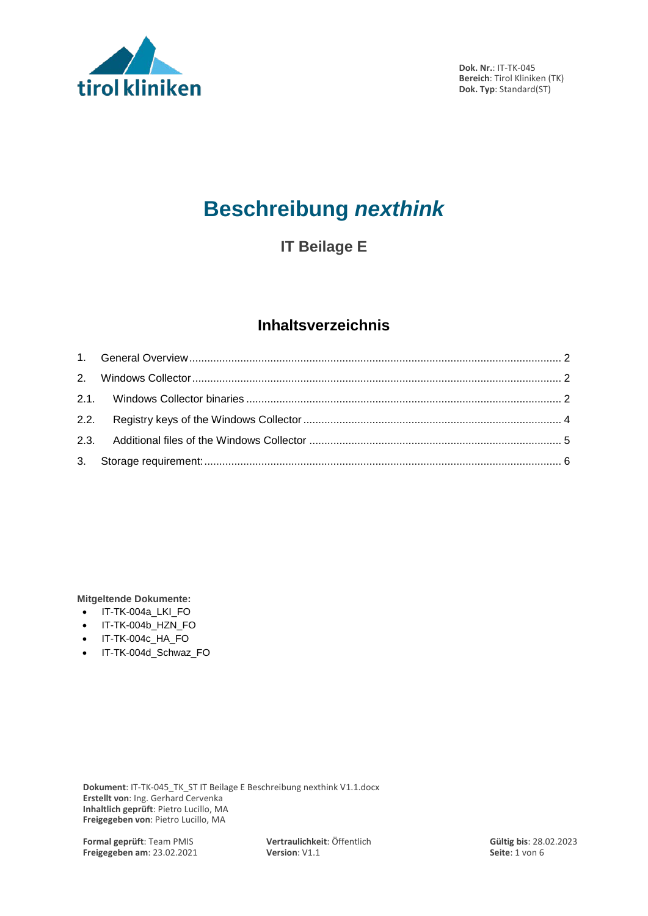

# **Beschreibung** *nexthink*

**IT Beilage E**

# **Inhaltsverzeichnis**

**Mitgeltende Dokumente:**

- IT-TK-004a\_LKI\_FO
- IT-TK-004b\_HZN\_FO
- IT-TK-004c HA\_FO
- IT-TK-004d\_Schwaz\_FO

**Dokument**: IT-TK-045\_TK\_ST IT Beilage E Beschreibung nexthink V1.1.docx **Erstellt von**: Ing. Gerhard Cervenka **Inhaltlich geprüft**: Pietro Lucillo, MA **Freigegeben von**: Pietro Lucillo, MA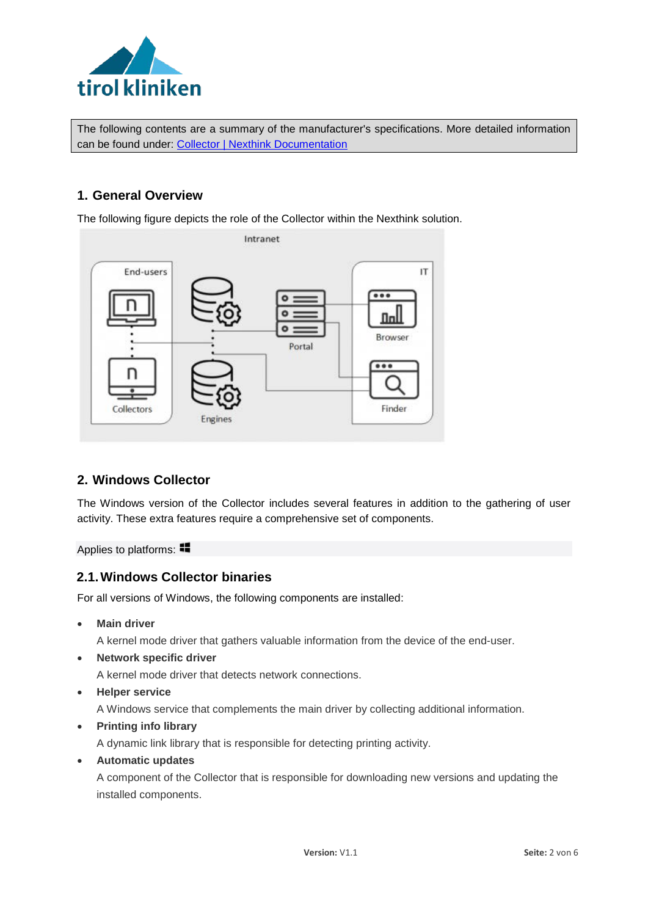

The following contents are a summary of the manufacturer's specifications. More detailed information can be found under: [Collector | Nexthink Documentation](https://doc.nexthink.com/Documentation/Nexthink/V6.29/ProductOverview/Collector)

### <span id="page-1-0"></span>**1. General Overview**

The following figure depicts the role of the Collector within the Nexthink solution.



## <span id="page-1-1"></span>**2. Windows Collector**

The Windows version of the Collector includes several features in addition to the gathering of user activity. These extra features require a comprehensive set of components.

<span id="page-1-2"></span>Appliesto platforms:

#### **2.1.Windows Collector binaries**

For all versions of Windows, the following components are installed:

• **Main driver**

A kernel mode driver that gathers valuable information from the device of the end-user.

• **Network specific driver**

A kernel mode driver that detects network connections.

• **Helper service**

A Windows service that complements the main driver by collecting additional information.

• **Printing info library**

A dynamic link library that is responsible for detecting printing activity.

• **Automatic updates**

A component of the Collector that is responsible for downloading new versions and updating the installed components.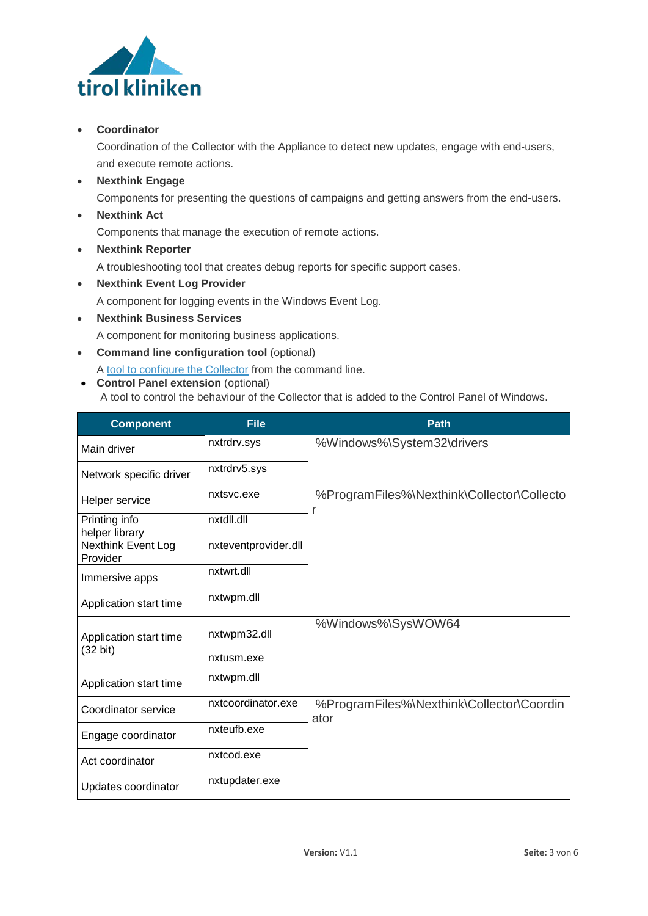

#### • **Coordinator**

Coordination of the Collector with the Appliance to detect new updates, engage with end-users, and execute remote actions.

• **Nexthink Engage**

Components for presenting the questions of campaigns and getting answers from the end-users.

• **Nexthink Act**

Components that manage the execution of remote actions.

• **Nexthink Reporter**

A troubleshooting tool that creates debug reports for specific support cases.

- **Nexthink Event Log Provider** A component for logging events in the Windows Event Log.
- **Nexthink Business Services** A component for monitoring business applications.
- **Command line configuration tool** (optional)

A tool to [configure](http://doc.nexthink.com/Documentation/Nexthink/V6.29/InstallationAndConfiguration/Nxtcfg-Collectorconfigurationtool) the Collector from the command line.

• **Control Panel extension** (optional) A tool to control the behaviour of the Collector that is added to the Control Panel of Windows.

| <b>Component</b>                | <b>File</b>          | Path                                              |
|---------------------------------|----------------------|---------------------------------------------------|
| Main driver                     | nxtrdrv.sys          | %Windows%\System32\drivers                        |
| Network specific driver         | nxtrdrv5.sys         |                                                   |
| Helper service                  | nxtsyc.exe           | %ProgramFiles%\Nexthink\Collector\Collecto<br>r   |
| Printing info<br>helper library | nxtdll.dll           |                                                   |
| Nexthink Event Log<br>Provider  | nxteventprovider.dll |                                                   |
| Immersive apps                  | nxtwrt.dll           |                                                   |
| Application start time          | nxtwpm.dll           |                                                   |
| Application start time          | nxtwpm32.dll         | %Windows%\SysWOW64                                |
| $(32 \text{ bit})$              | nxtusm.exe           |                                                   |
| Application start time          | nxtwpm.dll           |                                                   |
| Coordinator service             | nxtcoordinator.exe   | %ProgramFiles%\Nexthink\Collector\Coordin<br>ator |
| Engage coordinator              | nxteufb.exe          |                                                   |
| Act coordinator                 | nxtcod.exe           |                                                   |
| Updates coordinator             | nxtupdater.exe       |                                                   |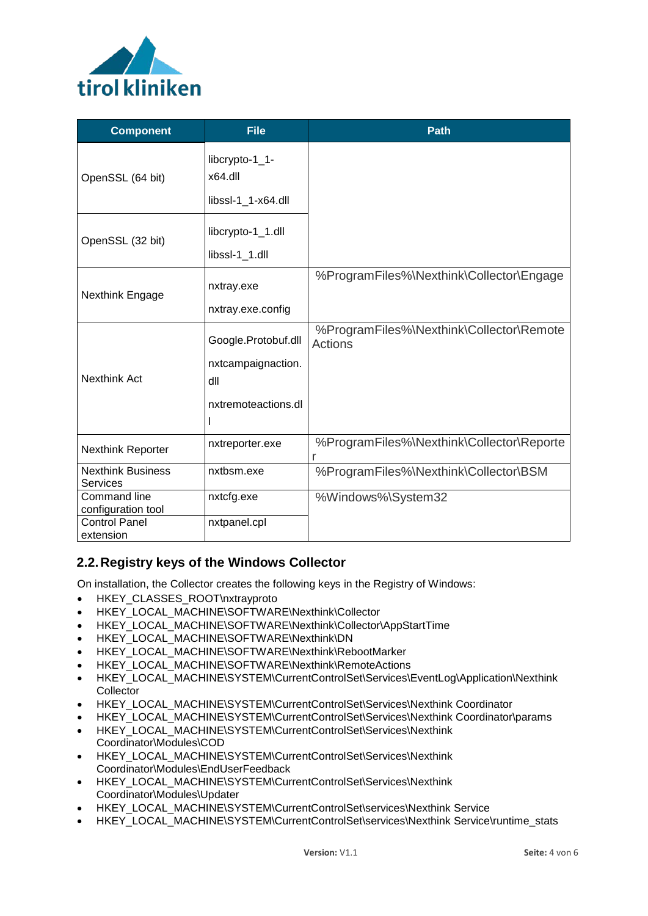

| <b>Component</b>                                                  | <b>File</b>                                                             | <b>Path</b>                                         |
|-------------------------------------------------------------------|-------------------------------------------------------------------------|-----------------------------------------------------|
| OpenSSL (64 bit)                                                  | libcrypto-1_1-<br>x64.dll<br>libssl-1_1-x64.dll                         |                                                     |
| OpenSSL (32 bit)                                                  | libcrypto-1_1.dll<br>libssl-1_1.dll                                     |                                                     |
| Nexthink Engage                                                   | nxtray.exe<br>nxtray.exe.config                                         | %ProgramFiles%\Nexthink\Collector\Engage            |
| <b>Nexthink Act</b>                                               | Google.Protobuf.dll<br>nxtcampaignaction.<br>dll<br>nxtremoteactions.dl | %ProgramFiles%\Nexthink\Collector\Remote<br>Actions |
| <b>Nexthink Reporter</b>                                          | nxtreporter.exe                                                         | %ProgramFiles%\Nexthink\Collector\Reporte           |
| <b>Nexthink Business</b><br><b>Services</b>                       | nxtbsm.exe                                                              | %ProgramFiles%\Nexthink\Collector\BSM               |
| <b>Command line</b><br>configuration tool<br><b>Control Panel</b> | nxtcfg.exe<br>nxtpanel.cpl                                              | %Windows%\System32                                  |
| extension                                                         |                                                                         |                                                     |

## <span id="page-3-0"></span>**2.2.Registry keys of the Windows Collector**

On installation, the Collector creates the following keys in the Registry of Windows:

- HKEY CLASSES ROOT\nxtrayproto
- HKEY\_LOCAL\_MACHINE\SOFTWARE\Nexthink\Collector
- HKEY\_LOCAL\_MACHINE\SOFTWARE\Nexthink\Collector\AppStartTime
- HKEY\_LOCAL\_MACHINE\SOFTWARE\Nexthink\DN
- HKEY\_LOCAL\_MACHINE\SOFTWARE\Nexthink\RebootMarker
- HKEY\_LOCAL\_MACHINE\SOFTWARE\Nexthink\RemoteActions
- HKEY\_LOCAL\_MACHINE\SYSTEM\CurrentControlSet\Services\EventLog\Application\Nexthink **Collector**
- HKEY\_LOCAL\_MACHINE\SYSTEM\CurrentControlSet\Services\Nexthink Coordinator
- HKEY\_LOCAL\_MACHINE\SYSTEM\CurrentControlSet\Services\Nexthink Coordinator\params
- HKEY\_LOCAL\_MACHINE\SYSTEM\CurrentControlSet\Services\Nexthink Coordinator\Modules\COD
- HKEY\_LOCAL\_MACHINE\SYSTEM\CurrentControlSet\Services\Nexthink Coordinator\Modules\EndUserFeedback
- HKEY\_LOCAL\_MACHINE\SYSTEM\CurrentControlSet\Services\Nexthink Coordinator\Modules\Updater
- HKEY\_LOCAL\_MACHINE\SYSTEM\CurrentControlSet\services\Nexthink Service
- HKEY\_LOCAL\_MACHINE\SYSTEM\CurrentControlSet\services\Nexthink Service\runtime\_stats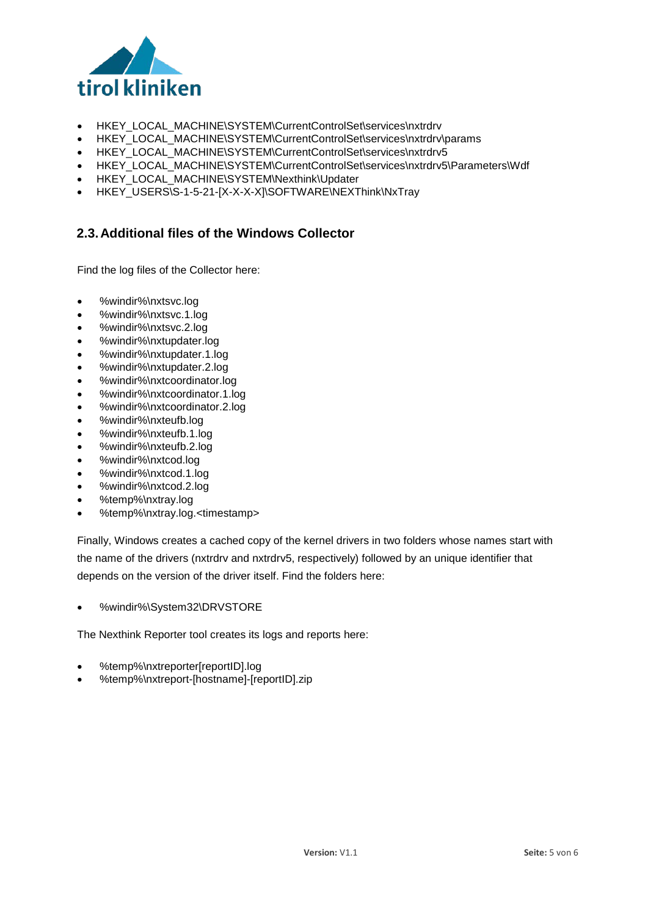

- HKEY\_LOCAL\_MACHINE\SYSTEM\CurrentControlSet\services\nxtrdrv
- HKEY\_LOCAL\_MACHINE\SYSTEM\CurrentControlSet\services\nxtrdrv\params
- HKEY\_LOCAL\_MACHINE\SYSTEM\CurrentControlSet\services\nxtrdrv5
- HKEY\_LOCAL\_MACHINE\SYSTEM\CurrentControlSet\services\nxtrdrv5\Parameters\Wdf
- HKEY\_LOCAL\_MACHINE\SYSTEM\Nexthink\Updater
- HKEY\_USERS\S-1-5-21-[X-X-X-X]\SOFTWARE\NEXThink\NxTray

# <span id="page-4-0"></span>**2.3.Additional files of the Windows Collector**

Find the log files of the Collector here:

- %windir%\nxtsvc.log
- %windir%\nxtsvc.1.log
- %windir%\nxtsvc.2.log
- %windir%\nxtupdater.log
- %windir%\nxtupdater.1.log
- %windir%\nxtupdater.2.log
- %windir%\nxtcoordinator.log
- %windir%\nxtcoordinator.1.log
- %windir%\nxtcoordinator.2.log
- %windir%\nxteufb.log
- %windir%\nxteufb.1.log
- %windir%\nxteufb.2.log
- %windir%\nxtcod.log
- %windir%\nxtcod.1.log
- %windir%\nxtcod.2.log
- %temp%\nxtray.log
- %temp%\nxtray.log.<timestamp>

Finally, Windows creates a cached copy of the kernel drivers in two folders whose names start with the name of the drivers (nxtrdrv and nxtrdrv5, respectively) followed by an unique identifier that depends on the version of the driver itself. Find the folders here:

• %windir%\System32\DRVSTORE

The Nexthink Reporter tool creates its logs and reports here:

- %temp%\nxtreporter[reportID].log
- %temp%\nxtreport-[hostname]-[reportID].zip